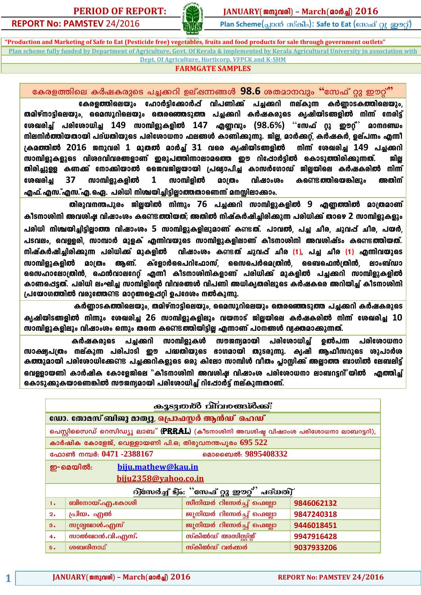**PERIOD OF REPORT:**  $\frac{1}{2}$  **ANUARY**(2009) – **March**(2009) 2016



i<br>.

**REPORT No: PAMSTEV 24/2016 Plan Scheme(and and an article in Eat** (empail of an and Cu

**"Production and Marketing of Safe to Eat (Pesticide free) vegetables, fruits and food products for sale through government outlets" Plan scheme fully funded by Department of Agriculture, Govt. Of Kerala & implemented by Kerala Agricultural University in association with Dept. Of Agriculture, Horticorp, VFPCK and K-SHM**

# **FARMGATE SAMPLES**

്കേരളത്തിലെ കർഷകരുടെ പച്ചക്കറി ഉല്ഷന്നങ്ങൾ 98.6 ശതമാനവും "സേഫ് റ്റു ഈറ്റ്"

്കേരളത്തിലെയും ഹോർട്ടിക്കോർഷ് വിപണിക്ക് പച്ചക്കറി നല്കുന്ന കർണ്ണാടകത്തിലെയും<u>,</u> തമിഴ്നാട്ടിലെയും, മൈസൂറിലെയും തെരഞ്ഞെടുത്ത പച്ചക്കറി കർഷകരുടെ ക്യഷിയിടങ്ങളിൽ നിന്ന് നേരിട്ട്  $\boldsymbol{\epsilon}$ ശഖരിച്ച് പരിശോധിച്ച 149 സാമ്പിളുകളിൽ 147 എണ്ണവും (98.6%) "സേഫ് റ്റു ഈറ്റ്<sup>?</sup> മാനദണ്ഡം mിലനിർത്തിയതായി പദ്ധതിയുടെ പരിശോധനാ ഫലങ്ങൾ കാണിക്കുന്നു. ജില്ല, മാർക്കറ്റ്, കർഷകർ, ഉല്പന്നം എന്നീ {Ia¯nÂ **2016** P\phcn **1** apX amÀ¨v **31** hsc IrjnbnS§fn \n¶v tiJcn¨ **149** ]¨¡dn സാമ്പിളുകളുടെ വിശദവിവരങ്ങളാണ് ഇരുപത്തിന്നാലാമത്തെ ഈ റിപ്പോർട്ടിൽ കൊടുത്തിരിക്കുന്നത്. ജില്ല തിരിച്ചുള്ള കണക്ക് നോക്കിയാൽ ജൈവജില്ലയായി പ്രഖ്യാപിച്ച കാസർഗോഡ് ജില്ലയിലെ കർഷകരിൽ നിന്ന് ്രേഖരിച്ച 37 സാമ്പിളുകളിൽ 1 സാമ്പിളിൽ മാത്രം വിഷാംശം കണ്ടെത്തിയെങ്കിലും അതിന് എഫ്. എസ.്എസ.്എ. ഐ. പരിധി നിശ്ചയിച്ചിട്ടില്ലാത്തതാണെന്ന് മനസ്സിലാക്കാം.

തിരുവനന്തപുരം ജില്ലയിൽ നിന്നും 76 പച്ചക്കറി സാമ്പിളുകളിൽ 9 എണ്ണത്തിൽ മാത്രമാണ് കീടനാശിനി അവശിഷ വിഷാംശം കണ്ടെ**ത്തിയത്; അതിൽ നിഷ്കർഷിചിരിക്കുന്ന പരിധിക്ക് താഴെ 2** സാമ്പിളുകളും പരിധി നിശ്ചയിച്ചിട്ടിലാത്ത വിഷാംശം 5 സാമ്പിളുകളിലുമാണ് കണ്ടത്. പാവൽ, പച്ച ചീര, ചുവപ്പ് ചീര, പയർ പടവലം, വെള്ളരി, സാമ്പാർ മുളക് എന്നിവയുടെ സാമ്പിളുകളിലാണ് കീടനാശിനി അവശിഷ്ടം കണ്ടെ**ത്തിയത്**.  $\,$  സിഷ്കർഷിച്ചിരിക്കുന്ന പരിധിക്ക് മുകളിൽ വിഷാംശം കണ്ടത് ചുവപ്പ് ചീര (1), പച്ച ചീര (1) എന്നിവയുടെ സാമ്പിളുകളിൽ മാത്രം ആണ്. ക്ളോർപൈറിഫോസ്, സൈപെർമെത്രിൻ, ബൈഫെൻത്രിൻ, ലാംബ്ഡാ ്ക്രസ്ഥാലോത്രിൻ, ഫെൻവാലറേറ്റ് എന്നീ കീടനാശിനികളാണ് പരിധിക്ക് മുകളിൽ പച്ചക്കറി സാമ്പിളുകളിൽ കാണപ്പെട്ടത്. പരിധി ലംഘിച്ച സാമ്പിളിന്റെ വിവരങ്ങൾ വിപണി അധികൃതരിലൂടെ കർഷകരെ അറിയിച്ച് കീടനാശിനി <u>പ്രയോഗത്തിൽ വരുത്തേണ്ടെ മാറങ്ങളെപ്പറ്റി ഉപദേശം നൽകുന്നു.</u>

കർണാടകത്തിലെയും, തമിഴ്നാട്ടിലെയും, മൈസൂറിലെയും തെരഞ്ഞെടുത്ത പച്ചക്കറി കർഷകരുടെ IrjnbnS§fn \n¶pw tiJcn¨ **26** km¼nfpIfnepw hb\mSv PnÃbnse IÀjIcn \n¶v tiJcn¨ **10**  സാമ്പിളുകളിലും വിഷാംശം ഒന്നും തന്നെ കണ്ടെ**ത്തിയിട്ടില്ല എന്നാണ് പഠനങ്ങൾ വ്യക്തമാക്കുന്നത്**.

കർഷകരുടെ പച്ചക്കറി സാമ്പിളുകൾ സൗജന്യമായി പരിശോധിച്ച് ഉൽപന്ന പരിശോധനാ സാക്ഷ്യപത്രം നല്കുന്ന പരിപാടി ഈ പദ്ധതിയുടെ ഭാഗമായി തുടരുന്നു. കൃഷി ആഫീസറുടെ ശുപാർശ കത്തുമായി പരിശോധിക്കേണ്ട പച്ചക്കറികളുടെ ഒരു കിലോ സാമ്പിൾ വീതം പ്ലാസ്റ്റിക്ക് അല്ലാത്ത ബാഗിൽ ലേബലിട്ട് ഖ്വെള്ളായണി കാർഷിക കോളേജിലെ "കീടനാശിനി അവശിഷ വിഷാംശ പരിശോധനാ ലാബറട്ടറി"യിൽ എത്തിച്ച് കൊടുക്കുകയാണെങ്കിൽ സൗജന്യമായി പരിശോധിച് റിപ്പോർട് നല്കുന്നതാണ്.

|                |                                                                                   | കൂടുതൽ വിവരങ്ങൾക്ക്:                                 |            |  |  |  |  |  |  |  |
|----------------|-----------------------------------------------------------------------------------|------------------------------------------------------|------------|--|--|--|--|--|--|--|
|                | ഡോ. തോമസ് ബിജു മാത്യു, പ്രൊഫസ്സർ ആൻഡ് ഹെഡ്                                        |                                                      |            |  |  |  |  |  |  |  |
|                | പെസ്റ്റിസൈഡ് റെസിഡ്യു ലാബ് (PRRAL) (കീടനാശിനി അവശിഷ്ട വിഷാംശ പരിശോധനാ ലാബറട്ടറി), |                                                      |            |  |  |  |  |  |  |  |
|                | കാർഷിക കോളേജ്, വെള്ളായണി പി.ഒ; തിരുവനന്തപുരം $695\ 522$                           |                                                      |            |  |  |  |  |  |  |  |
|                | ഫോൺ നമ്പർ: 0471 -2388167                                                          | മൊബൈൽ: 9895408332                                    |            |  |  |  |  |  |  |  |
|                | biju.mathew@kau.in<br>ഇ-മെയിൽ:                                                    |                                                      |            |  |  |  |  |  |  |  |
|                | biju2358@vahoo.co.in                                                              |                                                      |            |  |  |  |  |  |  |  |
|                |                                                                                   | റ്റ്സേർച്ച് ട്]ം: ''സേഫ് റ്റു <u>ഈറ്റ്' പദ്ധത്വ്</u> |            |  |  |  |  |  |  |  |
| $\mathbf{1}$ . | ബിനോയ്.എ.കോശി                                                                     | സീനിയർ റിസേർച്ച് ഫെല്ലോ                              | 9846062132 |  |  |  |  |  |  |  |
| 2.             | പ്രിയം എൽ                                                                         | ജൂനിയർ റിസേർച്ച് ഫെല്ലോ                              | 9847240318 |  |  |  |  |  |  |  |
| 3.             | <b>സൂര്വ</b> മോൾ.എസ്<br>ജൂനിയർ റിസേർച്ച് ഫെല്ലോ<br>9446018451                     |                                                      |            |  |  |  |  |  |  |  |
| 4.             | സാൽമോൻ.വി.എസ്.<br>സ്കിൽഡ് അസിസ്റ്റ്സ്<br>9947916428                               |                                                      |            |  |  |  |  |  |  |  |
| 5.             | ശബരിനാഥ്                                                                          | സ്കിൽഡ് വർക്കർ                                       | 9037933206 |  |  |  |  |  |  |  |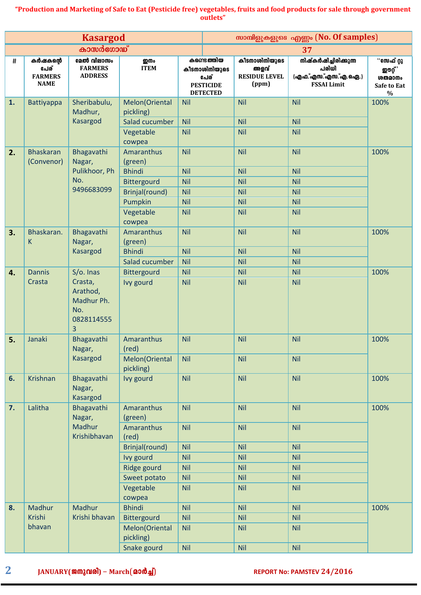|    |                                                   | <b>Kasargod</b>                                                          |                                                                                                                                   |                                                                                                |                                                                                     |                                                             | സാമ്പിളുകളുടെ എണ്ണം (No. Of samples)                                                           |                                                                         |
|----|---------------------------------------------------|--------------------------------------------------------------------------|-----------------------------------------------------------------------------------------------------------------------------------|------------------------------------------------------------------------------------------------|-------------------------------------------------------------------------------------|-------------------------------------------------------------|------------------------------------------------------------------------------------------------|-------------------------------------------------------------------------|
|    |                                                   | കാസർഗോഡ്                                                                 |                                                                                                                                   |                                                                                                |                                                                                     |                                                             | 37                                                                                             |                                                                         |
| #  | കർഷകന്റെ<br>പേര്<br><b>FARMERS</b><br><b>NAME</b> | മേൽ വിലാസം<br><b>FARMERS</b><br><b>ADDRESS</b>                           | று ம<br><b>ITEM</b>                                                                                                               |                                                                                                | കണ്ടെ <b>ത്തി</b> യ<br>കീടനാശിനിയുടെ<br>പേര്<br><b>PESTICIDE</b><br><b>DETECTED</b> | കീടനാശിനിയുടെ<br>അളവ്<br><b>RESIDUE LEVEL</b><br>(ppm)      | നിഷ്കർഷിച്ചിരിക്കുന്ന<br>പരിധി<br>(എഫ.്എസ.്എസ.്എ.ഐ.)<br><b>FSSAI Limit</b>                     | ്°േക് റ്റു<br><b>ഇൗറ്റ്</b> ,<br>ശതമാനം<br>Safe to Eat<br>$\frac{0}{0}$ |
| 1. | <b>Battiyappa</b>                                 | Sheribabulu,<br>Madhur,<br>Kasargod                                      | Melon(Oriental<br>pickling)<br>Salad cucumber<br>Vegetable<br>cowpea                                                              | <b>Nil</b><br><b>Nil</b><br><b>Nil</b>                                                         |                                                                                     | <b>Nil</b><br><b>Nil</b><br>Nil                             | <b>Nil</b><br><b>Nil</b><br><b>Nil</b>                                                         | 100%                                                                    |
| 2. | <b>Bhaskaran</b><br>(Convenor)                    | Bhagavathi<br>Nagar,<br>Pulikhoor, Ph<br>No.<br>9496683099               | Amaranthus<br>(green)<br><b>Bhindi</b><br>Bittergourd<br>Brinjal(round)<br>Pumpkin<br>Vegetable<br>cowpea                         | <b>Nil</b><br><b>Nil</b><br><b>Nil</b><br><b>Nil</b><br>Nil<br><b>Nil</b>                      |                                                                                     | Nil<br>Nil<br><b>Nil</b><br>Nil<br><b>Nil</b><br>Nil        | <b>Nil</b><br><b>Nil</b><br><b>Nil</b><br>Nil<br><b>Nil</b><br><b>Nil</b>                      | 100%                                                                    |
| 3. | Bhaskaran.<br>K                                   | Bhagavathi<br>Nagar,<br>Kasargod                                         | Amaranthus<br>(green)<br><b>Bhindi</b><br>Salad cucumber                                                                          | <b>Nil</b><br><b>Nil</b><br><b>Nil</b>                                                         |                                                                                     | Nil<br><b>Nil</b><br><b>Nil</b>                             | <b>Nil</b><br><b>Nil</b><br><b>Nil</b>                                                         | 100%                                                                    |
| 4. | <b>Dannis</b><br>Crasta                           | S/o. Inas<br>Crasta,<br>Arathod,<br>Madhur Ph.<br>No.<br>0828114555<br>3 | Bittergourd<br>Ivy gourd                                                                                                          | <b>Nil</b><br><b>Nil</b>                                                                       |                                                                                     | Nil<br><b>Nil</b>                                           | <b>Nil</b><br><b>Nil</b>                                                                       | 100%                                                                    |
| 5. | Janaki                                            | Bhagavathi<br>Nagar,<br>Kasargod                                         | Amaranthus<br>(red)<br>Melon(Oriental<br>pickling)                                                                                | <b>Nil</b><br><b>Nil</b>                                                                       |                                                                                     | <b>Nil</b><br><b>Nil</b>                                    | <b>Nil</b><br><b>Nil</b>                                                                       | 100%                                                                    |
| 6. | Krishnan                                          | Bhagavathi<br>Nagar,<br>Kasargod                                         | Ivy gourd                                                                                                                         | <b>Nil</b>                                                                                     |                                                                                     | Nil                                                         | <b>Nil</b>                                                                                     | 100%                                                                    |
| 7. | Lalitha                                           | Bhagavathi<br>Nagar,<br>Madhur<br>Krishibhavan                           | Amaranthus<br>(green)<br>Amaranthus<br>(red)<br>Brinjal(round)<br>Ivy gourd<br>Ridge gourd<br>Sweet potato<br>Vegetable<br>cowpea | <b>Nil</b><br><b>Nil</b><br><b>Nil</b><br><b>Nil</b><br><b>Nil</b><br><b>Nil</b><br><b>Nil</b> |                                                                                     | Nil<br>Nil<br>Nil<br>Nil<br>Nil<br><b>Nil</b><br><b>Nil</b> | <b>Nil</b><br><b>Nil</b><br><b>Nil</b><br><b>Nil</b><br><b>Nil</b><br><b>Nil</b><br><b>Nil</b> | 100%                                                                    |
| 8. | Madhur<br>Krishi<br>bhavan                        | Madhur<br>Krishi bhavan                                                  | <b>Bhindi</b><br>Bittergourd<br>Melon(Oriental<br>pickling)<br>Snake gourd                                                        | <b>Nil</b><br><b>Nil</b><br><b>Nil</b><br><b>Nil</b>                                           |                                                                                     | Nil<br><b>Nil</b><br><b>Nil</b><br><b>Nil</b>               | <b>Nil</b><br><b>Nil</b><br><b>Nil</b><br><b>Nil</b>                                           | 100%                                                                    |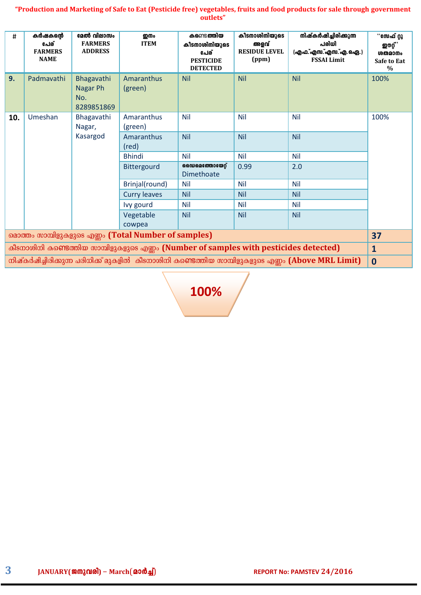| #                                                                                     | കർഷകന്റെ<br>പേര്<br><b>FARMERS</b><br><b>NAME</b> | മേൽ വിലാസം<br><b>FARMERS</b><br><b>ADDRESS</b> | றி<br><b>ITEM</b>     | കണ്ടെ <b>ത്തിയ</b><br>കീടനാശിനിയുടെ<br>പേര്<br><b>PESTICIDE</b><br><b>DETECTED</b> | കീടനാശിനിയുടെ<br>അളവ്<br><b>RESIDUE LEVEL</b><br>(ppm) | നിഷ്കർഷിച്ചിരിക്കുന്ന<br>പരിധി<br>(എഫ.്എസ.്എസ.്എ.ഐ.)<br><b>FSSAI Limit</b>                        | "സേഫ് റ്റു<br>ഇൗറ്റ് ,<br>ശതമാനം<br><b>Safe to Eat</b><br>$\frac{0}{0}$ |  |
|---------------------------------------------------------------------------------------|---------------------------------------------------|------------------------------------------------|-----------------------|------------------------------------------------------------------------------------|--------------------------------------------------------|---------------------------------------------------------------------------------------------------|-------------------------------------------------------------------------|--|
| 9.                                                                                    | Padmavathi                                        | Bhagavathi<br>Nagar Ph<br>No.<br>8289851869    | Amaranthus<br>(green) | <b>Nil</b>                                                                         | <b>Nil</b>                                             | <b>Nil</b>                                                                                        | 100%                                                                    |  |
| 10.                                                                                   | Umeshan                                           | Bhagavathi<br>Nagar,                           | Amaranthus<br>(green) | <b>Nil</b>                                                                         | <b>Nil</b>                                             | <b>Nil</b>                                                                                        | 100%                                                                    |  |
|                                                                                       |                                                   | Kasargod                                       | Amaranthus<br>(red)   | <b>Nil</b>                                                                         | <b>Nil</b>                                             | <b>Nil</b>                                                                                        |                                                                         |  |
|                                                                                       |                                                   |                                                | <b>Bhindi</b>         | <b>Nil</b>                                                                         | <b>Nil</b>                                             | <b>Nil</b>                                                                                        |                                                                         |  |
|                                                                                       |                                                   |                                                | Bittergourd           | <b>ഡൈമെത്തോയേറ്റ്</b><br>Dimethoate                                                | 0.99                                                   | 2.0                                                                                               |                                                                         |  |
|                                                                                       |                                                   |                                                | Brinjal(round)        | <b>Nil</b>                                                                         | <b>Nil</b>                                             | <b>Nil</b>                                                                                        |                                                                         |  |
|                                                                                       |                                                   |                                                | <b>Curry leaves</b>   | <b>Nil</b>                                                                         | <b>Nil</b>                                             | <b>Nil</b>                                                                                        |                                                                         |  |
|                                                                                       |                                                   |                                                | Ivy gourd             | Nil                                                                                | Nil                                                    | <b>Nil</b>                                                                                        |                                                                         |  |
|                                                                                       |                                                   |                                                | Vegetable             | <b>Nil</b>                                                                         | <b>Nil</b>                                             | <b>Nil</b>                                                                                        |                                                                         |  |
|                                                                                       |                                                   |                                                | cowpea                |                                                                                    |                                                        |                                                                                                   |                                                                         |  |
| മൊത്തം സാമ്പിളുകളുടെ എണ്ണം (Total Number of samples)<br>37                            |                                                   |                                                |                       |                                                                                    |                                                        |                                                                                                   |                                                                         |  |
| കീടനാശിനി കണ്ടെത്തിയ സാമ്പിളുകളുടെ എണ്ണം (Number of samples with pesticides detected) |                                                   |                                                |                       |                                                                                    |                                                        |                                                                                                   |                                                                         |  |
|                                                                                       |                                                   |                                                |                       |                                                                                    |                                                        | നിഷ്കർഷിച്ചിരിക്കുന്ന പരിധിക്ക് മുകളിൽ കീടനാശിനി കണ്ടെത്തിയ സാമ്പിളുകളുടെ എണ്ണം (Above MRL Limit) | $\mathbf 0$                                                             |  |

**100%**

 $3$  **JANUARY(ജനുവരി)** – March(20 0 21) **REPORT No: PAMSTEV 24/2016**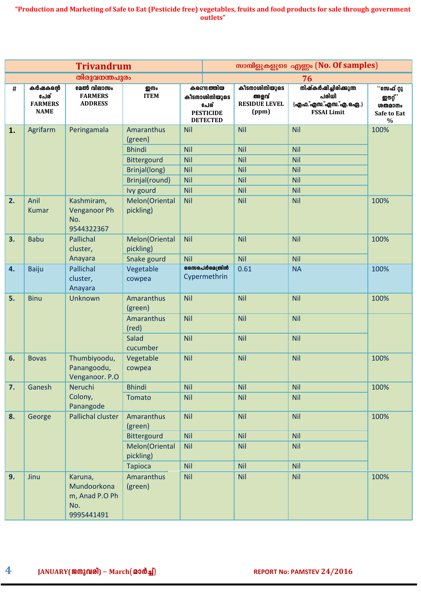|      |                                                   | <b>Trivandrum</b>                                             |                             |                             | സാമ്പിളുകളുടെ എണ്ണം (No. Of samples)                                       |                                                        |                                                                                   |                                                                         |  |
|------|---------------------------------------------------|---------------------------------------------------------------|-----------------------------|-----------------------------|----------------------------------------------------------------------------|--------------------------------------------------------|-----------------------------------------------------------------------------------|-------------------------------------------------------------------------|--|
|      |                                                   | തിരുവനന്തപുരം                                                 |                             |                             |                                                                            |                                                        | 76                                                                                |                                                                         |  |
| $\#$ | കർഷകന്റെ<br>പേര്<br><b>FARMERS</b><br><b>NAME</b> | മേൽ വിലാസം<br><b>FARMERS</b><br><b>ADDRESS</b>                | <b>ഇനം</b><br><b>ITEM</b>   |                             | കണ്ടെത്തിയ<br>കീടനാശിനിയുടെ<br>പേര്<br><b>PESTICIDE</b><br><b>DETECTED</b> | കീടനാശിനിയുടെ<br>അളവ്<br><b>RESIDUE LEVEL</b><br>(ppm) | <b>നിഷ്കർഷിച്ചിരിക്കുന്ന</b><br>പരിധി<br>(എഫ.്എസ.്എസ.്എ.ഐ.)<br><b>FSSAI Limit</b> | ്°േക് റ്റു<br>ഇൗറ്റ് '<br><b>ശതമാനം</b><br>Safe to Eat<br>$\frac{0}{0}$ |  |
| 1.   | Agrifarm                                          | Peringamala                                                   | Amaranthus<br>(green)       | <b>Nil</b>                  |                                                                            | <b>Nil</b>                                             | <b>Nil</b>                                                                        | 100%                                                                    |  |
|      |                                                   |                                                               | <b>Bhindi</b>               | <b>Nil</b>                  |                                                                            | <b>Nil</b>                                             | <b>Nil</b>                                                                        |                                                                         |  |
|      |                                                   |                                                               | Bittergourd                 | <b>Nil</b>                  |                                                                            | <b>Nil</b>                                             | <b>Nil</b>                                                                        |                                                                         |  |
|      |                                                   |                                                               | Brinjal(long)               | <b>Nil</b>                  |                                                                            | Nil                                                    | <b>Nil</b>                                                                        |                                                                         |  |
|      |                                                   |                                                               | Brinjal(round)              | <b>Nil</b>                  |                                                                            | <b>Nil</b>                                             | <b>Nil</b>                                                                        |                                                                         |  |
|      |                                                   |                                                               | Ivy gourd                   | <b>Nil</b>                  |                                                                            | <b>Nil</b>                                             | <b>Nil</b>                                                                        |                                                                         |  |
| 2.   | Anil<br><b>Kumar</b>                              | Kashmiram,<br><b>Venganoor Ph</b><br>No.<br>9544322367        | Melon(Oriental<br>pickling) | <b>Nil</b>                  |                                                                            | <b>Nil</b>                                             | <b>Nil</b>                                                                        | 100%                                                                    |  |
| 3.   | <b>Babu</b>                                       | Pallichal<br>cluster,                                         | Melon(Oriental<br>pickling) | <b>Nil</b>                  |                                                                            | <b>Nil</b>                                             | <b>Nil</b>                                                                        | 100%                                                                    |  |
|      |                                                   | Anayara                                                       | Snake gourd                 | <b>Nil</b>                  |                                                                            | <b>Nil</b>                                             | Nil                                                                               |                                                                         |  |
| 4.   | Baiju                                             | Pallichal<br>cluster,<br>Anayara                              | Vegetable<br>cowpea         | മൈപർമെത്രിൻ<br>Cypermethrin |                                                                            | 0.61                                                   | <b>NA</b>                                                                         | 100%                                                                    |  |
| 5.   | <b>Binu</b>                                       | <b>Unknown</b>                                                | Amaranthus<br>(green)       | <b>Nil</b>                  |                                                                            | <b>Nil</b>                                             | <b>Nil</b>                                                                        | 100%                                                                    |  |
|      |                                                   |                                                               | <b>Amaranthus</b><br>(red)  | <b>Nil</b>                  |                                                                            | <b>Nil</b>                                             | <b>Nil</b>                                                                        |                                                                         |  |
|      |                                                   |                                                               | Salad<br>cucumber           | <b>Nil</b>                  |                                                                            | <b>Nil</b>                                             | <b>Nil</b>                                                                        |                                                                         |  |
| 6.   | <b>Bovas</b>                                      | Thumbiyoodu,<br>Panangoodu,<br>Venganoor. P.O                 | Vegetable<br>cowpea         | <b>Nil</b>                  |                                                                            | <b>Nil</b>                                             | <b>Nil</b>                                                                        | 100%                                                                    |  |
| 7.   | Ganesh                                            | Neruchi                                                       | <b>Bhindi</b>               | <b>Nil</b>                  |                                                                            | <b>Nil</b>                                             | <b>Nil</b>                                                                        | 100%                                                                    |  |
|      |                                                   | Colony,<br>Panangode                                          | <b>Tomato</b>               | <b>Nil</b>                  |                                                                            | <b>Nil</b>                                             | <b>Nil</b>                                                                        |                                                                         |  |
| 8.   | George                                            | Pallichal cluster                                             | Amaranthus<br>(green)       | <b>Nil</b>                  |                                                                            | <b>Nil</b>                                             | <b>Nil</b>                                                                        | 100%                                                                    |  |
|      |                                                   |                                                               | Bittergourd                 | <b>Nil</b>                  |                                                                            | <b>Nil</b>                                             | <b>Nil</b>                                                                        |                                                                         |  |
|      |                                                   |                                                               | Melon(Oriental<br>pickling) | <b>Nil</b>                  |                                                                            | <b>Nil</b>                                             | <b>Nil</b>                                                                        |                                                                         |  |
|      |                                                   |                                                               | <b>Tapioca</b>              | <b>Nil</b>                  |                                                                            | <b>Nil</b>                                             | <b>Nil</b>                                                                        |                                                                         |  |
| 9.   | Jinu                                              | Karuna,<br>Mundoorkona<br>m, Anad P.O Ph<br>No.<br>9995441491 | Amaranthus<br>(green)       | <b>Nil</b>                  |                                                                            | <b>Nil</b>                                             | <b>Nil</b>                                                                        | 100%                                                                    |  |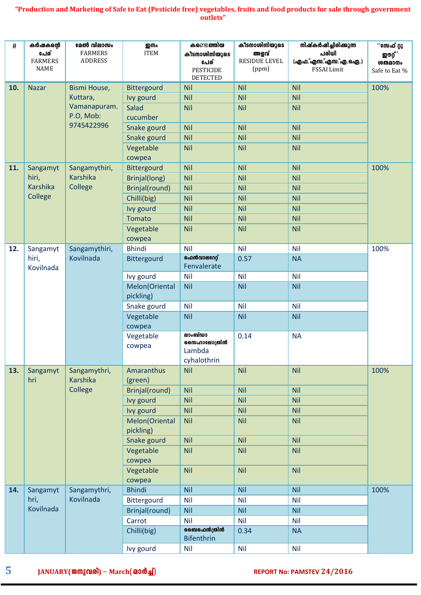| #   | കർഷകന്റെ<br>പേര്<br><b>FARMERS</b><br><b>NAME</b> | മേൽ വിലാസം<br><b>FARMERS</b><br><b>ADDRESS</b> | <b>ഇനം</b><br><b>ITEM</b>   | കണ്ടെ <b>ത്തിയ</b><br>കീടനാശിനിയുടെ<br>പേര്<br><b>PESTICIDE</b><br><b>DETECTED</b> | കീടനാശിനിയുടെ<br>അളവ്<br><b>RESIDUE LEVEL</b><br>(ppm) | നിഷ്കർഷിച്ചിരിക്കുന്ന<br>പരിധി<br>(എഫ.്എസ.്എസ.്എ.ഐ.)<br><b>FSSAI Limit</b> | ്°േ ഫ് റ്റു<br><b>ற</b> ூழீ`<br><b>ശതമാനം</b><br>Safe to Eat % |
|-----|---------------------------------------------------|------------------------------------------------|-----------------------------|------------------------------------------------------------------------------------|--------------------------------------------------------|----------------------------------------------------------------------------|----------------------------------------------------------------|
| 10. | <b>Nazar</b>                                      | Bismi House,                                   | Bittergourd                 | <b>Nil</b>                                                                         | <b>Nil</b>                                             | <b>Nil</b>                                                                 | 100%                                                           |
|     |                                                   | Kuttara,                                       | Ivy gourd                   | <b>Nil</b>                                                                         | <b>Nil</b>                                             | <b>Nil</b>                                                                 |                                                                |
|     |                                                   | Vamanapuram.                                   | Salad                       | <b>Nil</b>                                                                         | <b>Nil</b>                                             | <b>Nil</b>                                                                 |                                                                |
|     |                                                   | P.O, Mob:<br>9745422996                        | cucumber                    |                                                                                    |                                                        |                                                                            |                                                                |
|     |                                                   |                                                | Snake gourd                 | <b>Nil</b>                                                                         | <b>Nil</b>                                             | <b>Nil</b>                                                                 |                                                                |
|     |                                                   |                                                | Snake gourd                 | <b>Nil</b>                                                                         | <b>Nil</b>                                             | <b>Nil</b>                                                                 |                                                                |
|     |                                                   |                                                | Vegetable<br>cowpea         | <b>Nil</b>                                                                         | <b>Nil</b>                                             | <b>Nil</b>                                                                 |                                                                |
| 11. | Sangamyt                                          | Sangamythiri,                                  | Bittergourd                 | <b>Nil</b>                                                                         | <b>Nil</b>                                             | <b>Nil</b>                                                                 | 100%                                                           |
|     | hiri,                                             | <b>Karshika</b>                                | Brinjal(long)               | <b>Nil</b>                                                                         | <b>Nil</b>                                             | <b>Nil</b>                                                                 |                                                                |
|     | <b>Karshika</b>                                   | College                                        | Brinjal(round)              | <b>Nil</b>                                                                         | <b>Nil</b>                                             | <b>Nil</b>                                                                 |                                                                |
|     | College                                           |                                                | Chilli(big)                 | <b>Nil</b>                                                                         | <b>Nil</b>                                             | <b>Nil</b>                                                                 |                                                                |
|     |                                                   |                                                | Ivy gourd                   | <b>Nil</b>                                                                         | <b>Nil</b>                                             | <b>Nil</b>                                                                 |                                                                |
|     |                                                   |                                                | <b>Tomato</b>               | <b>Nil</b>                                                                         | <b>Nil</b>                                             | <b>Nil</b>                                                                 |                                                                |
|     |                                                   |                                                | Vegetable<br>cowpea         | <b>Nil</b>                                                                         | <b>Nil</b>                                             | <b>Nil</b>                                                                 |                                                                |
| 12. | Sangamyt                                          | Sangamythiri,                                  | <b>Bhindi</b>               | Nil                                                                                | <b>Nil</b>                                             | <b>Nil</b>                                                                 | 100%                                                           |
|     | hiri,<br>Kovilnada                                | Kovilnada                                      | Bittergourd                 | ഐൻവാലറേറ്റ്<br>Fenvalerate                                                         | 0.57                                                   | <b>NA</b>                                                                  |                                                                |
|     |                                                   |                                                | Ivy gourd                   | Nil                                                                                | <b>Nil</b>                                             | <b>Nil</b>                                                                 |                                                                |
|     |                                                   |                                                | Melon(Oriental<br>pickling) | <b>Nil</b>                                                                         | <b>Nil</b>                                             | <b>Nil</b>                                                                 |                                                                |
|     |                                                   |                                                | Snake gourd                 | <b>Nil</b>                                                                         | <b>Nil</b>                                             | <b>Nil</b>                                                                 |                                                                |
|     |                                                   |                                                | Vegetable                   | <b>Nil</b>                                                                         | <b>Nil</b>                                             | <b>Nil</b>                                                                 |                                                                |
|     |                                                   |                                                | cowpea                      |                                                                                    |                                                        |                                                                            |                                                                |
|     |                                                   |                                                | Vegetable<br>cowpea         | ലാംബ്ഡാ<br>സൈഹാലോത്രിൻ<br>Lambda<br>cyhalothrin                                    | 0.14                                                   | <b>NA</b>                                                                  |                                                                |
| 13. | Sangamyt<br>hri                                   | Sangamythri,<br>Karshika                       | Amaranthus<br>(green)       | <b>Nil</b>                                                                         | Nil                                                    | <b>Nil</b>                                                                 | 100%                                                           |
|     |                                                   | College                                        | Brinjal(round)              | <b>Nil</b>                                                                         | <b>Nil</b>                                             | <b>Nil</b>                                                                 |                                                                |
|     |                                                   |                                                | Ivy gourd                   | <b>Nil</b>                                                                         | <b>Nil</b>                                             | <b>Nil</b>                                                                 |                                                                |
|     |                                                   |                                                | Ivy gourd                   | <b>Nil</b>                                                                         | <b>Nil</b>                                             | <b>Nil</b>                                                                 |                                                                |
|     |                                                   |                                                | Melon(Oriental              | <b>Nil</b>                                                                         | <b>Nil</b>                                             | <b>Nil</b>                                                                 |                                                                |
|     |                                                   |                                                | pickling)                   |                                                                                    |                                                        |                                                                            |                                                                |
|     |                                                   |                                                | Snake gourd                 | <b>Nil</b>                                                                         | <b>Nil</b>                                             | <b>Nil</b>                                                                 |                                                                |
|     |                                                   |                                                | Vegetable<br>cowpea         | <b>Nil</b>                                                                         | <b>Nil</b>                                             | <b>Nil</b>                                                                 |                                                                |
|     |                                                   |                                                | Vegetable<br>cowpea         | <b>Nil</b>                                                                         | <b>Nil</b>                                             | <b>Nil</b>                                                                 |                                                                |
| 14. | Sangamyt                                          | Sangamythri,                                   | <b>Bhindi</b>               | Nil                                                                                | <b>Nil</b>                                             | <b>Nil</b>                                                                 | 100%                                                           |
|     | hri,                                              | Kovilnada                                      | Bittergourd                 | <b>Nil</b>                                                                         | <b>Nil</b>                                             | <b>Nil</b>                                                                 |                                                                |
|     | Kovilnada                                         |                                                | Brinjal(round)              | <b>Nil</b>                                                                         | <b>Nil</b>                                             | <b>Nil</b>                                                                 |                                                                |
|     |                                                   |                                                | Carrot                      | <b>Nil</b>                                                                         | <b>Nil</b>                                             | <b>Nil</b>                                                                 |                                                                |
|     |                                                   |                                                | Chilli(big)                 | <b>ൈമെൻ</b> ത്രിൻ<br><b>Bifenthrin</b>                                             | 0.34                                                   | <b>NA</b>                                                                  |                                                                |
|     |                                                   |                                                | Ivy gourd                   | <b>Nil</b>                                                                         | <b>Nil</b>                                             | <b>Nil</b>                                                                 |                                                                |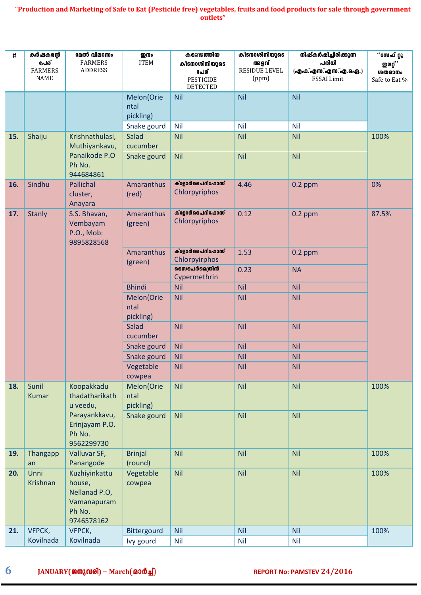| #   | കർഷകന്റെ<br>പേര്<br><b>FARMERS</b><br><b>NAME</b> | മേൽ വിലാസം<br><b>FARMERS</b><br><b>ADDRESS</b>                                  | <b>ഇനം</b><br><b>ITEM</b>                      | കണ്ടെ <b>ത്തിയ</b><br>കീടനാശിനിയുടെ<br>പേര്<br><b>PESTICIDE</b><br><b>DETECTED</b> | കീടനാശിനിയുടെ<br>അളവ്<br>RESIDUE LEVEL<br>(ppm) | നിഷ്കർഷിച്ചിരിക്കുന്ന<br>പരിധി<br>(എഫ.്എസ.്എസ.്എ.ഐ.)<br>FSSAI Limit | ്°േക് റ്റു<br><b>ഇൗറ്റ്</b> 2<br><b>ശതമാനം</b><br>Safe to Eat % |
|-----|---------------------------------------------------|---------------------------------------------------------------------------------|------------------------------------------------|------------------------------------------------------------------------------------|-------------------------------------------------|---------------------------------------------------------------------|-----------------------------------------------------------------|
|     |                                                   |                                                                                 | Melon(Orie<br>ntal<br>pickling)<br>Snake gourd | <b>Nil</b><br>Nil                                                                  | <b>Nil</b><br>Nil                               | <b>Nil</b><br><b>Nil</b>                                            |                                                                 |
| 15. | Shaiju                                            | Krishnathulasi,<br>Muthiyankavu,<br>Panaikode P.O<br>Ph No.<br>944684861        | <b>Salad</b><br>cucumber<br>Snake gourd        | <b>Nil</b><br><b>Nil</b>                                                           | <b>Nil</b><br><b>Nil</b>                        | <b>Nil</b><br><b>Nil</b>                                            | 100%                                                            |
| 16. | Sindhu                                            | <b>Pallichal</b><br>cluster,<br>Anayara                                         | <b>Amaranthus</b><br>(red)                     | ക്ളോർപൈറിഫോസ്<br>Chlorpyriphos                                                     | 4.46                                            | $0.2$ ppm                                                           | 0%                                                              |
| 17. | <b>Stanly</b>                                     | S.S. Bhavan,<br>Vembayam<br>P.O., Mob:<br>9895828568                            | Amaranthus<br>(green)                          | ക്ളോർപൈറിഫോസ്<br>Chlorpyriphos                                                     | 0.12                                            | $0.2$ ppm                                                           | 87.5%                                                           |
|     |                                                   |                                                                                 | <b>Amaranthus</b><br>(green)                   | ക്ളോർപൈറിഫോസ്<br>Chlorpyirphos                                                     | 1.53                                            | $0.2$ ppm                                                           |                                                                 |
|     |                                                   |                                                                                 |                                                | മൈപർമെത്രിൻ<br>Cypermethrin                                                        | 0.23                                            | <b>NA</b>                                                           |                                                                 |
|     |                                                   |                                                                                 | <b>Bhindi</b>                                  | <b>Nil</b>                                                                         | <b>Nil</b>                                      | <b>Nil</b>                                                          |                                                                 |
|     |                                                   |                                                                                 | Melon(Orie<br>ntal<br>pickling)                | <b>Nil</b>                                                                         | <b>Nil</b>                                      | <b>Nil</b>                                                          |                                                                 |
|     |                                                   |                                                                                 | <b>Salad</b><br>cucumber                       | <b>Nil</b>                                                                         | <b>Nil</b>                                      | <b>Nil</b>                                                          |                                                                 |
|     |                                                   |                                                                                 | Snake gourd                                    | <b>Nil</b>                                                                         | <b>Nil</b>                                      | <b>Nil</b>                                                          |                                                                 |
|     |                                                   |                                                                                 | Snake gourd                                    | <b>Nil</b>                                                                         | <b>Nil</b>                                      | <b>Nil</b>                                                          |                                                                 |
|     |                                                   |                                                                                 | Vegetable                                      | <b>Nil</b>                                                                         | <b>Nil</b>                                      | <b>Nil</b>                                                          |                                                                 |
| 18. | Sunil                                             | Koopakkadu                                                                      | cowpea<br>Melon(Orie                           | <b>Nil</b>                                                                         | Nil                                             | <b>Nil</b>                                                          | 100%                                                            |
|     | <b>Kumar</b>                                      | thadatharikath<br>u veedu,                                                      | ntal<br>pickling)                              |                                                                                    |                                                 |                                                                     |                                                                 |
|     |                                                   | Parayankkavu,<br>Erinjayam P.O.<br>Ph No.<br>9562299730                         | Snake gourd                                    | <b>Nil</b>                                                                         | Nil                                             | <b>Nil</b>                                                          |                                                                 |
| 19. | Thangapp<br>an                                    | Valluvar SF,<br>Panangode                                                       | <b>Brinjal</b><br>(round)                      | <b>Nil</b>                                                                         | Nil                                             | <b>Nil</b>                                                          | 100%                                                            |
| 20. | Unni<br>Krishnan                                  | Kuzhiyinkattu<br>house,<br>Nellanad P.O,<br>Vamanapuram<br>Ph No.<br>9746578162 | Vegetable<br>cowpea                            | Nil                                                                                | Nil                                             | <b>Nil</b>                                                          | 100%                                                            |
| 21. | VFPCK,                                            | VFPCK,                                                                          | Bittergourd                                    | <b>Nil</b>                                                                         | <b>Nil</b>                                      | <b>Nil</b>                                                          | 100%                                                            |
|     | Kovilnada                                         | Kovilnada                                                                       | Ivy gourd                                      | <b>Nil</b>                                                                         | <b>Nil</b>                                      | <b>Nil</b>                                                          |                                                                 |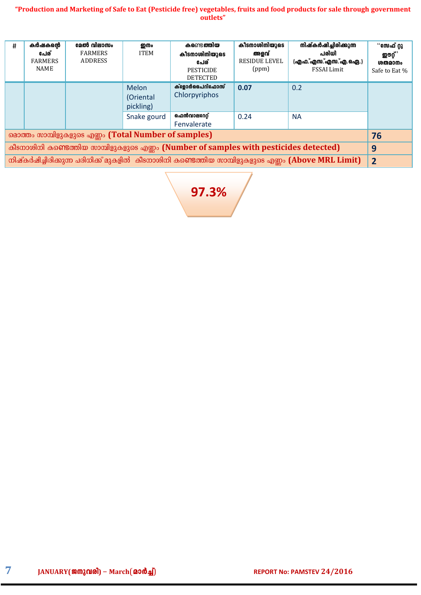| #                                                                                                                    | കർഷകന്റെ<br>പേര്<br><b>FARMERS</b><br>NAME | മേൽ വിലാസം<br><b>FARMERS</b><br><b>ADDRESS</b>       | று<br><b>ITEM</b>                              | കണ്ടെ <b>ത്തിയ</b><br>കീടനാശിനിയുടെ<br>പേര്<br><b>PESTICIDE</b><br><b>DETECTED</b> | കീടനാശിനിയുടെ<br>അളവ്<br><b>RESIDUE LEVEL</b><br>(ppm) | നിഷ്കർഷിച്ചിരിക്കുന്ന<br>പരിധി<br>(എഫ.്എസ.്എസ.്എ.ഐ.)<br><b>FSSAI Limit</b> | ്°േക് റ്റു<br><b>ற</b> ூர்,<br>ശതമാനം<br>Safe to Eat % |  |  |
|----------------------------------------------------------------------------------------------------------------------|--------------------------------------------|------------------------------------------------------|------------------------------------------------|------------------------------------------------------------------------------------|--------------------------------------------------------|----------------------------------------------------------------------------|--------------------------------------------------------|--|--|
|                                                                                                                      |                                            |                                                      | Melon<br>(Oriental<br>pickling)<br>Snake gourd | ക്ളോർപൈറിഫോസ്<br>Chlorpyriphos<br>ഹെൻവാലറേറ്റ്<br>Fenvalerate                      | 0.07<br>0.24                                           | 0.2<br><b>NA</b>                                                           |                                                        |  |  |
|                                                                                                                      |                                            | മൊത്തം സാമ്പിളുകളുടെ എണ്ണം (Total Number of samples) |                                                |                                                                                    |                                                        |                                                                            | 76                                                     |  |  |
| കീടനാശിനി കണ്ടെത്തിയ സാമ്പിളുകളുടെ എണ്ണം (Number of samples with pesticides detected)<br>9                           |                                            |                                                      |                                                |                                                                                    |                                                        |                                                                            |                                                        |  |  |
| നിഷ്കർഷിച്ചിരിക്കുന്ന പരിധിക്ക് മുകളിൽ  കീടനാശിനി കണ്ടെത്തിയ സാമ്പിളുകളുടെ എണ്ണം (Above MRL Limit)<br>$\overline{2}$ |                                            |                                                      |                                                |                                                                                    |                                                        |                                                                            |                                                        |  |  |

**97.3%**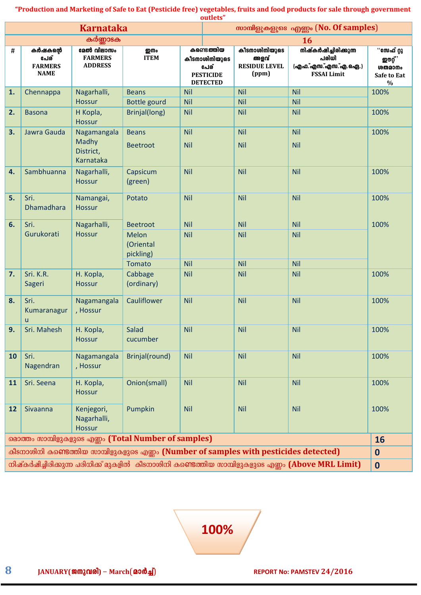|    |                                                   | <b>Karnataka</b>                               |                                                                                       |            | ouuets                                                                             |                                                        | സാമ്പിളുകളുടെ എണ്ണം (No. Of samples)                                                              |                                                                      |
|----|---------------------------------------------------|------------------------------------------------|---------------------------------------------------------------------------------------|------------|------------------------------------------------------------------------------------|--------------------------------------------------------|---------------------------------------------------------------------------------------------------|----------------------------------------------------------------------|
|    |                                                   | കർണ്ണാടക                                       |                                                                                       |            |                                                                                    |                                                        | <b>16</b>                                                                                         |                                                                      |
| #  | കർഷകന്റെ<br>പേര്<br><b>FARMERS</b><br><b>NAME</b> | മേൽ വിലാസം<br><b>FARMERS</b><br><b>ADDRESS</b> | ෩<br><b>ITEM</b>                                                                      |            | കണ്ടെ <b>ത്തിയ</b><br>കീടനാശിനിയുടെ<br>പേര്<br><b>PESTICIDE</b><br><b>DETECTED</b> | കീടനാശിനിയുടെ<br>അളവ്<br><b>RESIDUE LEVEL</b><br>(ppm) | നിഷ്കർഷിച്ചിരിക്കുന്ന<br>പരിധി<br>(എഫ.്എസ.്എസ.്എ.ഐ.)<br><b>FSSAI Limit</b>                        | ്°േക് റ്റു<br><b>ற</b> ூழ் ,<br><b>ശതമാനം</b><br>Safe to Eat<br>$\%$ |
| 1. | Chennappa                                         | Nagarhalli,                                    | <b>Beans</b>                                                                          | <b>Nil</b> |                                                                                    | <b>Nil</b>                                             | <b>Nil</b>                                                                                        | 100%                                                                 |
|    |                                                   | <b>Hossur</b>                                  | <b>Bottle gourd</b>                                                                   | <b>Nil</b> |                                                                                    | <b>Nil</b>                                             | <b>Nil</b>                                                                                        |                                                                      |
| 2. | <b>Basona</b>                                     | H Kopla,<br><b>Hossur</b>                      | Brinjal(long)                                                                         | <b>Nil</b> |                                                                                    | <b>Nil</b>                                             | <b>Nil</b>                                                                                        | 100%                                                                 |
| 3. | Jawra Gauda                                       | Nagamangala                                    | <b>Beans</b>                                                                          | Nil        |                                                                                    | <b>Nil</b>                                             | <b>Nil</b>                                                                                        | 100%                                                                 |
|    |                                                   | Madhy<br>District,<br>Karnataka                | <b>Beetroot</b>                                                                       | <b>Nil</b> |                                                                                    | <b>Nil</b>                                             | <b>Nil</b>                                                                                        |                                                                      |
| 4. | Sambhuanna                                        | Nagarhalli,<br><b>Hossur</b>                   | Capsicum<br>(green)                                                                   | Nil        |                                                                                    | <b>Nil</b>                                             | Nil                                                                                               | 100%                                                                 |
| 5. | Sri.<br><b>Dhamadhara</b>                         | Namangai,<br><b>Hossur</b>                     | Potato                                                                                | Nil        |                                                                                    | <b>Nil</b>                                             | <b>Nil</b>                                                                                        | 100%                                                                 |
| 6. | Sri.                                              | Nagarhalli,                                    | <b>Beetroot</b>                                                                       | <b>Nil</b> |                                                                                    | <b>Nil</b>                                             | <b>Nil</b>                                                                                        | 100%                                                                 |
|    | Gurukorati                                        | <b>Hossur</b>                                  | Melon<br>(Oriental<br>pickling)                                                       | Nil        |                                                                                    | <b>Nil</b>                                             | <b>Nil</b>                                                                                        |                                                                      |
|    |                                                   |                                                | <b>Tomato</b>                                                                         | <b>Nil</b> |                                                                                    | <b>Nil</b>                                             | <b>Nil</b>                                                                                        |                                                                      |
| 7. | Sri. K.R.<br>Sageri                               | H. Kopla,<br><b>Hossur</b>                     | Cabbage<br>(ordinary)                                                                 | <b>Nil</b> |                                                                                    | <b>Nil</b>                                             | <b>Nil</b>                                                                                        | 100%                                                                 |
| 8. | Sri.<br>Kumaranagur<br>u                          | Nagamangala<br>, Hossur                        | Cauliflower                                                                           | Nil        |                                                                                    | <b>Nil</b>                                             | Nil                                                                                               | 100%                                                                 |
| 9. | Sri. Mahesh                                       | H. Kopla,<br><b>Hossur</b>                     | <b>Salad</b><br>cucumber                                                              | <b>Nil</b> |                                                                                    | <b>Nil</b>                                             | <b>Nil</b>                                                                                        | 100%                                                                 |
| 10 | Sri.<br>Nagendran                                 | Nagamangala<br>, Hossur                        | Brinjal(round)                                                                        | <b>Nil</b> |                                                                                    | <b>Nil</b>                                             | <b>Nil</b>                                                                                        | 100%                                                                 |
| 11 | Sri. Seena                                        | H. Kopla,<br><b>Hossur</b>                     | Onion(small)                                                                          | <b>Nil</b> |                                                                                    | <b>Nil</b>                                             | <b>Nil</b>                                                                                        | 100%                                                                 |
| 12 | Sivaanna                                          | Kenjegori,<br>Nagarhalli,<br><b>Hossur</b>     | Pumpkin                                                                               | <b>Nil</b> |                                                                                    | <b>Nil</b>                                             | <b>Nil</b>                                                                                        | 100%                                                                 |
|    |                                                   |                                                | മൊത്തം സാമ്പിളുകളുടെ എണ്ണം (Total Number of samples)                                  |            |                                                                                    |                                                        |                                                                                                   | 16                                                                   |
|    |                                                   |                                                | കീടനാശിനി കണ്ടെത്തിയ സാമ്പിളുകളുടെ എണ്ണം (Number of samples with pesticides detected) |            |                                                                                    |                                                        |                                                                                                   | $\bf{0}$                                                             |
|    |                                                   |                                                |                                                                                       |            |                                                                                    |                                                        | നിഷ്കർഷിച്ചിരിക്കുന്ന പരിധിക്ക് മുകളിൽ കീടനാശിനി കണ്ടെത്തിയ സാമ്പിളുകളുടെ എണ്ണം (Above MRL Limit) | $\boldsymbol{0}$                                                     |

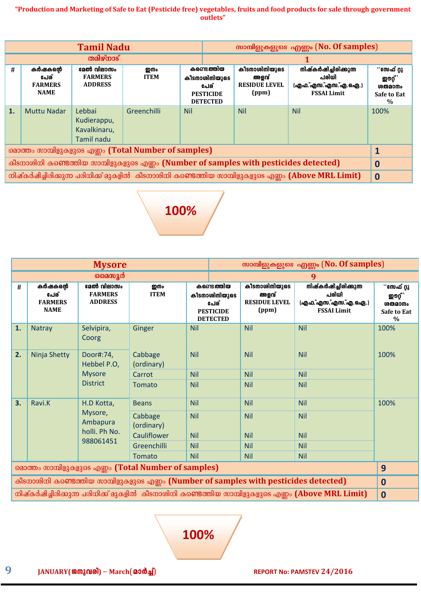|                                                                                       |                                                   | <b>Tamil Nadu</b>                                   |                                                      |                                                                            | സാമ്പിളുകളുടെ എണ്ണം (No. Of samples) |                                                        |                                                                                                   |                                                        |
|---------------------------------------------------------------------------------------|---------------------------------------------------|-----------------------------------------------------|------------------------------------------------------|----------------------------------------------------------------------------|--------------------------------------|--------------------------------------------------------|---------------------------------------------------------------------------------------------------|--------------------------------------------------------|
|                                                                                       | തമിഴ്നാട്                                         |                                                     |                                                      |                                                                            |                                      |                                                        |                                                                                                   |                                                        |
| #                                                                                     | കർഷകന്റെ<br>പേര്<br><b>FARMERS</b><br><b>NAME</b> | മേൽ വിലാസം<br><b>FARMERS</b><br><b>ADDRESS</b>      | ஹில<br><b>ITEM</b>                                   | കണ്ടെത്തിയ<br>കീടനാശിനിയുടെ<br>പേര്<br><b>PESTICIDE</b><br><b>DETECTED</b> |                                      | കീടനാശിനിയുടെ<br>അളവ്<br><b>RESIDUE LEVEL</b><br>(ppm) | നിഷ്കർഷിച്ചിരിക്കുന്ന<br>പരിധി<br>(എഫ.്എസ.്എസ.്എ.ഐ.)<br><b>FSSAI Limit</b>                        | ്°േക് റ്റു<br>ഇൗറ്റ്,<br>ശതമാനം<br>Safe to Eat<br>$\%$ |
| 1.                                                                                    | <b>Muttu Nadar</b>                                | Lebbai<br>Kudierappu,<br>Kavalkinaru,<br>Tamil nadu | Greenchilli                                          | <b>Nil</b>                                                                 |                                      | <b>Nil</b>                                             | <b>Nil</b>                                                                                        | 100%                                                   |
|                                                                                       |                                                   |                                                     | മൊത്തം സാമ്പിളുകളുടെ എണ്ണം (Total Number of samples) |                                                                            |                                      |                                                        |                                                                                                   | 1                                                      |
| കീടനാശിനി കണ്ടെത്തിയ സാമ്പിളുകളുടെ എണ്ണം (Number of samples with pesticides detected) |                                                   |                                                     |                                                      |                                                                            |                                      |                                                        |                                                                                                   | $\bf{0}$                                               |
|                                                                                       |                                                   |                                                     |                                                      |                                                                            |                                      |                                                        | നിഷ്കർഷിച്ചിരിക്കുന്ന പരിധിക്ക് മുകളിൽ കീടനാശിനി കണ്ടെത്തിയ സാമ്പിളുകളുടെ എണ്ണം (Above MRL Limit) | $\mathbf 0$                                            |



|                                                                                                      |                                                   | <b>Mysore</b>                                  |                       |            |                                                                            |                                                        | സാമ്പിളുകളുടെ എണ്ണം (No. Of samples)                                                              |                                                                          |
|------------------------------------------------------------------------------------------------------|---------------------------------------------------|------------------------------------------------|-----------------------|------------|----------------------------------------------------------------------------|--------------------------------------------------------|---------------------------------------------------------------------------------------------------|--------------------------------------------------------------------------|
|                                                                                                      |                                                   | മൈസൂർ                                          |                       |            |                                                                            |                                                        | 9                                                                                                 |                                                                          |
| #                                                                                                    | കർഷകന്റെ<br>പേര്<br><b>FARMERS</b><br><b>NAME</b> | മേൽ വിലാസം<br><b>FARMERS</b><br><b>ADDRESS</b> | று<br><b>ITEM</b>     |            | കണ്ടെത്തിയ<br>കീടനാശിനിയുടെ<br>പേര്<br><b>PESTICIDE</b><br><b>DETECTED</b> | കീടനാശിനിയുടെ<br>അളവ്<br><b>RESIDUE LEVEL</b><br>(ppm) | നിഷ്കർഷിച്ചിരിക്കുന്ന<br>പരിധി<br>(എഫ.്എസ.്എസ.്എ.ഐ.)<br><b>FSSAI Limit</b>                        | ്°േക് റ്റു<br><b>ഇ</b> ൗറ്റ് ,<br>ശതമാനം<br>Safe to Eat<br>$\frac{0}{0}$ |
| 1.                                                                                                   | <b>Natray</b>                                     | Selvipira,<br>Coorg                            | Ginger                | <b>Nil</b> |                                                                            | <b>Nil</b>                                             | <b>Nil</b>                                                                                        | 100%                                                                     |
| 2.                                                                                                   | Ninja Shetty                                      | Door#:74,<br>Hebbel P.O,                       | Cabbage<br>(ordinary) | <b>Nil</b> |                                                                            | <b>Nil</b>                                             | <b>Nil</b>                                                                                        | 100%                                                                     |
|                                                                                                      |                                                   | <b>Mysore</b>                                  | Carrot                | <b>Nil</b> |                                                                            | <b>Nil</b>                                             | <b>Nil</b>                                                                                        |                                                                          |
|                                                                                                      |                                                   | <b>District</b>                                | Tomato                | <b>Nil</b> |                                                                            | <b>Nil</b>                                             | <b>Nil</b>                                                                                        |                                                                          |
| 3.                                                                                                   | Ravi.K                                            | H.D Kotta,                                     | <b>Beans</b>          | <b>Nil</b> |                                                                            | <b>Nil</b>                                             | <b>Nil</b>                                                                                        | 100%                                                                     |
|                                                                                                      |                                                   | Mysore,<br>Ambapura                            | Cabbage<br>(ordinary) | <b>Nil</b> |                                                                            | <b>Nil</b>                                             | <b>Nil</b>                                                                                        |                                                                          |
|                                                                                                      |                                                   | holli. Ph No.                                  | Cauliflower           | <b>Nil</b> |                                                                            | <b>Nil</b>                                             | <b>Nil</b>                                                                                        |                                                                          |
|                                                                                                      |                                                   | 988061451                                      | Greenchilli           | <b>Nil</b> |                                                                            | <b>Nil</b>                                             | <b>Nil</b>                                                                                        |                                                                          |
|                                                                                                      |                                                   |                                                | <b>Tomato</b>         | <b>Nil</b> |                                                                            | <b>Nil</b>                                             | <b>Nil</b>                                                                                        |                                                                          |
| മൊത്തം സാമ്പിളുകളുടെ എണ്ണം (Total Number of samples)<br>9                                            |                                                   |                                                |                       |            |                                                                            |                                                        |                                                                                                   |                                                                          |
| കീടനാശിനി കണ്ടെത്തിയ സാമ്പിളുകളുടെ എണ്ണം (Number of samples with pesticides detected)<br>$\mathbf 0$ |                                                   |                                                |                       |            |                                                                            |                                                        |                                                                                                   |                                                                          |
|                                                                                                      |                                                   |                                                |                       |            |                                                                            |                                                        | നിഷ്കർഷിച്ചിരിക്കുന്ന പരിധിക്ക് മുകളിൽ കീടനാശിനി കണ്ടെത്തിയ സാമ്പിളുകളുടെ എണ്ണം (Above MRL Limit) | $\mathbf 0$                                                              |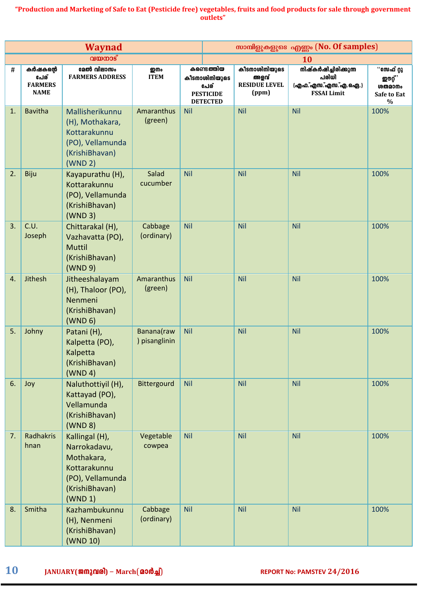|    |                                                   | <b>Waynad</b>                                                                                                 |                             |            |                                                                            |                                                        | സാമ്പിളുകളുടെ എണ്ണം (No. Of samples)                                       |                                                                        |
|----|---------------------------------------------------|---------------------------------------------------------------------------------------------------------------|-----------------------------|------------|----------------------------------------------------------------------------|--------------------------------------------------------|----------------------------------------------------------------------------|------------------------------------------------------------------------|
|    |                                                   | വയനാട്                                                                                                        |                             |            |                                                                            |                                                        | <b>10</b>                                                                  |                                                                        |
| Ħ  | കർഷകന്റെ<br>പേര്<br><b>FARMERS</b><br><b>NAME</b> | മേൽ വിലാസം<br><b>FARMERS ADDRESS</b>                                                                          | று ம<br><b>ITEM</b>         |            | കണ്ടെത്തിയ<br>കീടനാശിനിയുടെ<br>പേര്<br><b>PESTICIDE</b><br><b>DETECTED</b> | കീടനാശിനിയുടെ<br>അളവ്<br><b>RESIDUE LEVEL</b><br>(ppm) | നിഷ്കർഷിച്ചിരിക്കുന്ന<br>പരിധി<br>(എഫ.്എസ.്എസ.്എ.ഐ.)<br><b>FSSAI Limit</b> | ്°േക് റ്റു<br><b>ഇ</b> ൗറ്റ് ,<br><b>ശതമാനം</b><br>Safe to Eat<br>$\%$ |
| 1. | <b>Bavitha</b>                                    | Mallisherikunnu<br>(H), Mothakara,<br>Kottarakunnu<br>(PO), Vellamunda<br>(KrishiBhavan)<br>(WND 2)           | Amaranthus<br>(green)       | <b>Nil</b> |                                                                            | <b>Nil</b>                                             | <b>Nil</b>                                                                 | 100%                                                                   |
| 2. | Biju                                              | Kayapurathu (H),<br>Kottarakunnu<br>(PO), Vellamunda<br>(KrishiBhavan)<br>(WND 3)                             | Salad<br>cucumber           | Nil        |                                                                            | <b>Nil</b>                                             | <b>Nil</b>                                                                 | 100%                                                                   |
| 3. | C.U.<br>Joseph                                    | Chittarakal (H),<br>Vazhavatta (PO),<br><b>Muttil</b><br>(KrishiBhavan)<br>(WND 9)                            | Cabbage<br>(ordinary)       | Nil        |                                                                            | <b>Nil</b>                                             | <b>Nil</b>                                                                 | 100%                                                                   |
| 4. | Jithesh                                           | Jitheeshalayam<br>(H), Thaloor (PO),<br>Nenmeni<br>(KrishiBhavan)<br>(WND 6)                                  | Amaranthus<br>(green)       | <b>Nil</b> |                                                                            | <b>Nil</b>                                             | <b>Nil</b>                                                                 | 100%                                                                   |
| 5. | Johny                                             | Patani (H),<br>Kalpetta (PO),<br>Kalpetta<br>(KrishiBhavan)<br>(WND 4)                                        | Banana(raw<br>) pisanglinin | <b>Nil</b> |                                                                            | <b>Nil</b>                                             | <b>Nil</b>                                                                 | 100%                                                                   |
| 6. | Joy                                               | Naluthottiyil (H),<br>Kattayad (PO),<br>Vellamunda<br>(KrishiBhavan)<br>(WND 8)                               | Bittergourd                 | <b>Nil</b> |                                                                            | <b>Nil</b>                                             | <b>Nil</b>                                                                 | 100%                                                                   |
| 7. | Radhakris<br>hnan                                 | Kallingal (H),<br>Narrokadavu,<br>Mothakara,<br>Kottarakunnu<br>(PO), Vellamunda<br>(KrishiBhavan)<br>(WND 1) | Vegetable<br>cowpea         | <b>Nil</b> |                                                                            | <b>Nil</b>                                             | <b>Nil</b>                                                                 | 100%                                                                   |
| 8. | Smitha                                            | Kazhambukunnu<br>(H), Nenmeni<br>(KrishiBhavan)<br>(WND 10)                                                   | Cabbage<br>(ordinary)       | <b>Nil</b> |                                                                            | <b>Nil</b>                                             | <b>Nil</b>                                                                 | 100%                                                                   |